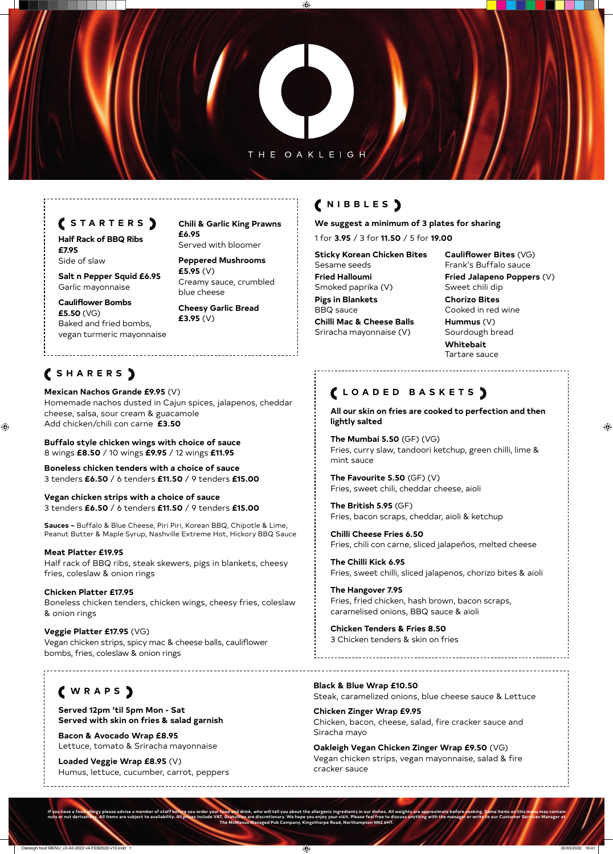### THE OAKLEIGH

⊕

## **NIBBLES**

**We suggest a minimum of 3 plates for sharing** 

1 for **3.95** / 3 for **11.50** / 5 for **19.00**

**Sticky Korean Chicken Bites** 

Sesame seeds **Fried Halloumi** Smoked paprika (V)

**Pigs in Blankets**  BBQ sauce

**Chilli Mac & Cheese Balls** Sriracha mayonnaise (V)

**Cauliflower Bites** (VG) Frank's Buffalo sauce

**Fried Jalapeno Poppers** (V) Sweet chili dip

**Chorizo Bites** Cooked in red wine

**Hummus** (V) Sourdough bread

**Whitebait** Tartare sauce

# **SHARERS**

 $\bigoplus$ 

**Mexican Nachos Grande £9.95** (V) Homemade nachos dusted in Cajun spices, jalapenos, cheddar cheese, salsa, sour cream & guacamole Add chicken/chili con carne **£3.50** 

**Buffalo style chicken wings with choice of sauce**  8 wings **£8.50** / 10 wings **£9.95** / 12 wings **£11.95**

**Boneless chicken tenders with a choice of sauce**  3 tenders **£6.50** / 6 tenders **£11.50** / 9 tenders **£15.00**

**Vegan chicken strips with a choice of sauce**  3 tenders **£6.50** / 6 tenders **£11.50** / 9 tenders **£15.00**

**Sauces –** Buffalo & Blue Cheese, Piri Piri, Korean BBQ, Chipotle & Lime, Peanut Butter & Maple Syrup, Nashville Extreme Hot, Hickory BBQ Sauce

**Meat Platter £19.95** Half rack of BBQ ribs, steak skewers, pigs in blankets, cheesy fries, coleslaw & onion rings

**Chicken Platter £17.95**

Boneless chicken tenders, chicken wings, cheesy fries, coleslaw & onion rings

**Veggie Platter £17.95** (VG)

Vegan chicken strips, spicy mac & cheese balls, cauliflower bombs, fries, coleslaw & onion rings

## **LOADED BASKETS**

**All our skin on fries are cooked to perfection and then lightly salted** 

**The Mumbai 5.50** (GF) (VG) Fries, curry slaw, tandoori ketchup, green chilli, lime & mint sauce

**The Favourite 5.50** (GF) (V) Fries, sweet chili, cheddar cheese, aioli

**The British 5.95** (GF) Fries, bacon scraps, cheddar, aioli & ketchup

ink, who will tell you about the allergenic ingredients in our dis nuts or nut derivatives. All items are subject to availability. All prices include VAT. Gratuities are discretionary. We hope you enjoy your visit. Please feel free to discuss anything with the manager or write to our Cust **The McManus Managed Pub Company, Kingsthorpe Road, Northampton NN2 6HT.**

**Chilli Cheese Fries 6.50**  Fries, chili con carne, sliced jalapeños, melted cheese

**The Chilli Kick 6.95** Fries, sweet chilli, sliced jalapenos, chorizo bites & aioli

**The Hangover 7.95**  Fries, fried chicken, hash brown, bacon scraps, caramelised onions, BBQ sauce & aioli

 $\bigoplus$ 

**Chicken Tenders & Fries 8.50**  3 Chicken tenders & skin on fries

## **WRAPS**

**Served 12pm 'til 5pm Mon - Sat Served with skin on fries & salad garnish**

**Bacon & Avocado Wrap £8.95**  Lettuce, tomato & Sriracha mayonnaise

**Loaded Veggie Wrap £8.95** (V) Humus, lettuce, cucumber, carrot, peppers

**Black & Blue Wrap £10.50**  Steak, caramelized onions, blue cheese sauce & Lettuce

**Chicken Zinger Wrap £9.95**  Chicken, bacon, cheese, salad, fire cracker sauce and Siracha mayo

**Oakleigh Vegan Chicken Zinger Wrap £9.50** (VG) Vegan chicken strips, vegan mayonnaise, salad & fire cracker sauce

### **STARTERS**

**Half Rack of BBQ Ribs £7.95**

Side of slaw

**Salt n Pepper Squid £6.95**  Garlic mayonnaise

**Cauliflower Bombs £5.50** (VG) Baked and fried bombs, vegan turmeric mayonnaise **Chili & Garlic King Prawns £6.95** Served with bloomer

**Peppered Mushrooms £5.95** (V) Creamy sauce, crumbled blue cheese

**Cheesy Garlic Bread £3.95** (V)